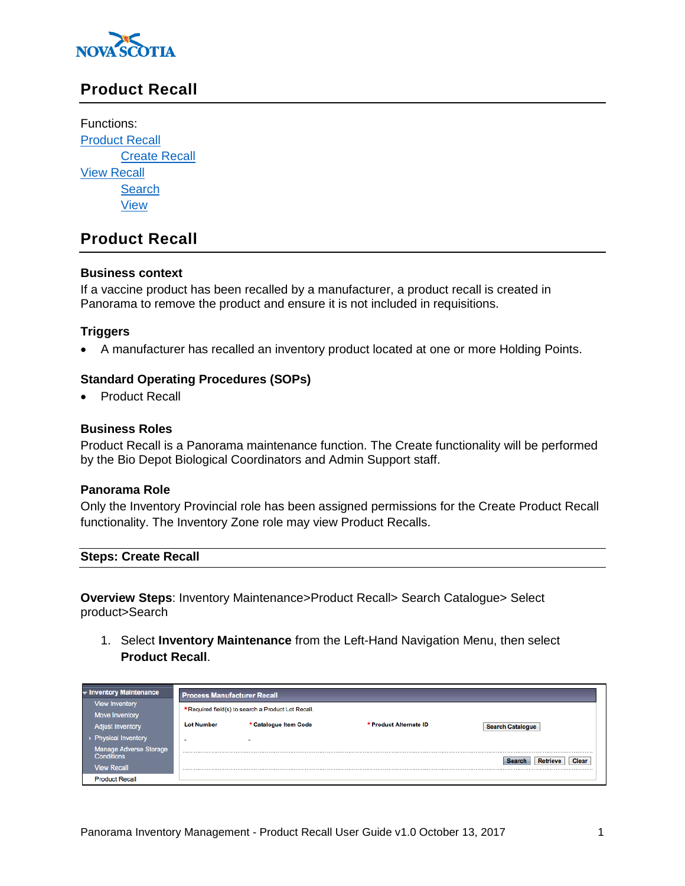

# **Product Recall**

Functions: [Product Recall](#page-0-0) [Create Recall](#page-0-1) [View Recall](#page-4-0) **[Search](#page-4-1)** [View](#page-5-0)

# <span id="page-0-0"></span>**Product Recall**

## **Business context**

If a vaccine product has been recalled by a manufacturer, a product recall is created in Panorama to remove the product and ensure it is not included in requisitions.

## **Triggers**

A manufacturer has recalled an inventory product located at one or more Holding Points.

## **Standard Operating Procedures (SOPs)**

• Product Recall

## **Business Roles**

Product Recall is a Panorama maintenance function. The Create functionality will be performed by the Bio Depot Biological Coordinators and Admin Support staff.

## **Panorama Role**

Only the Inventory Provincial role has been assigned permissions for the Create Product Recall functionality. The Inventory Zone role may view Product Recalls.

#### <span id="page-0-1"></span>**Steps: Create Recall**

**Overview Steps**: Inventory Maintenance>Product Recall> Search Catalogue> Select product>Search

1. Select **Inventory Maintenance** from the Left-Hand Navigation Menu, then select **Product Recall**.

| $\star$ Inventory Maintenance               | <b>Process Manufacturer Recall</b> |                                                    |                        |                         |  |  |  |  |  |
|---------------------------------------------|------------------------------------|----------------------------------------------------|------------------------|-------------------------|--|--|--|--|--|
| <b>View Inventory</b>                       |                                    |                                                    |                        |                         |  |  |  |  |  |
| <b>Move Inventory</b>                       |                                    | *Required field(s) to search a Product Lot Recall. |                        |                         |  |  |  |  |  |
| <b>Adjust Inventory</b>                     | <b>Lot Number</b>                  | * Catalogue Item Code                              | * Product Alternate ID | <b>Search Catalogue</b> |  |  |  |  |  |
| ▶ Physical Inventory                        | $\overline{\phantom{a}}$           | ٠                                                  |                        |                         |  |  |  |  |  |
| Manage Adverse Storage<br><b>Conditions</b> |                                    |                                                    |                        | Clear                   |  |  |  |  |  |
| <b>View Recall</b>                          |                                    |                                                    |                        |                         |  |  |  |  |  |
| <b>Product Recall</b>                       |                                    |                                                    |                        |                         |  |  |  |  |  |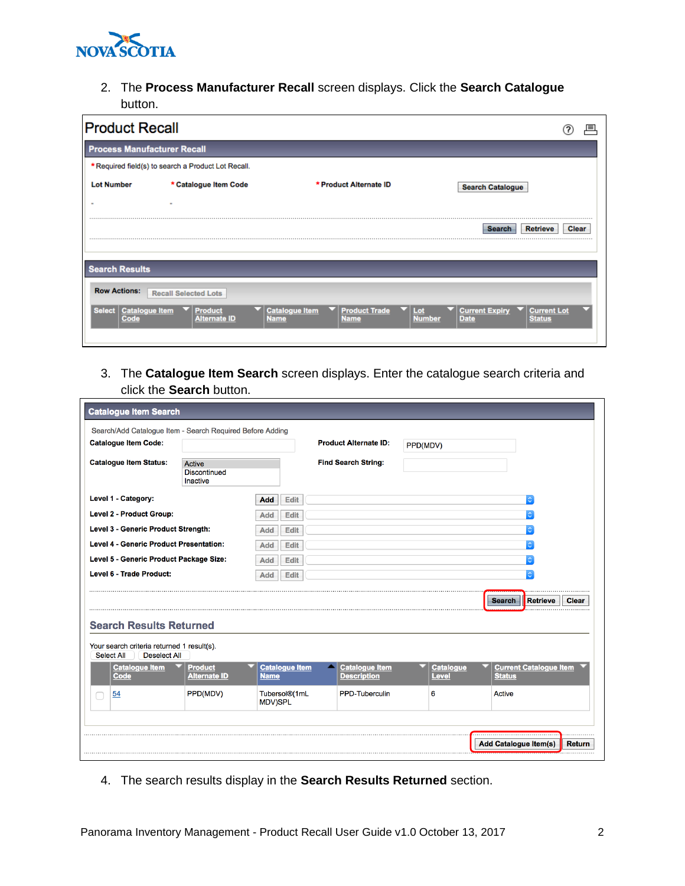

2. The **Process Manufacturer Recall** screen displays. Click the **Search Catalogue**  button.

| <b>Process Manufacturer Recall</b>                  |                                       |                                                                             |                      |                                      |                                     |
|-----------------------------------------------------|---------------------------------------|-----------------------------------------------------------------------------|----------------------|--------------------------------------|-------------------------------------|
|                                                     |                                       |                                                                             |                      |                                      |                                     |
| * Required field(s) to search a Product Lot Recall. |                                       |                                                                             |                      |                                      |                                     |
| <b>Lot Number</b>                                   | * Catalogue Item Code                 | * Product Alternate ID                                                      |                      | <b>Search Catalogue</b>              |                                     |
| $\sim$                                              |                                       |                                                                             |                      |                                      |                                     |
|                                                     |                                       |                                                                             |                      | <b>Search</b>                        | Clear<br><b>Retrieve</b>            |
|                                                     |                                       |                                                                             |                      |                                      |                                     |
| <b>Search Results</b>                               |                                       |                                                                             |                      |                                      |                                     |
| <b>Row Actions:</b>                                 | <b>Recall Selected Lots</b>           |                                                                             |                      |                                      |                                     |
| <b>Catalogue Item</b><br><b>Select</b><br>Code      | <b>Product</b><br><b>Alternate ID</b> | <b>Product Trade</b><br><b>Catalogue Item</b><br><b>Name</b><br><b>Name</b> | Lot<br><b>Number</b> | <b>Current Expiry</b><br><b>Date</b> | <b>Current Lot</b><br><b>Status</b> |

3. The **Catalogue Item Search** screen displays. Enter the catalogue search criteria and click the **Search** button.

| <b>Catalogue Item Code:</b>                                                                                                                                      |                                           |                |                       | <b>Product Alternate ID:</b>                | PPD(MDV) |                  |               |                                                           |
|------------------------------------------------------------------------------------------------------------------------------------------------------------------|-------------------------------------------|----------------|-----------------------|---------------------------------------------|----------|------------------|---------------|-----------------------------------------------------------|
| <b>Catalogue Item Status:</b>                                                                                                                                    | Active<br><b>Discontinued</b><br>Inactive |                |                       | <b>Find Search String:</b>                  |          |                  |               |                                                           |
| Level 1 - Category:                                                                                                                                              |                                           | Add            | Edit                  |                                             |          |                  |               | $\Diamond$                                                |
| Level 2 - Product Group:                                                                                                                                         |                                           | <b>Add</b>     | Edit                  |                                             |          |                  |               |                                                           |
| Level 3 - Generic Product Strength:                                                                                                                              |                                           | <b>Add</b>     | <b>Edit</b>           |                                             |          |                  |               |                                                           |
| <b>Level 4 - Generic Product Presentation:</b>                                                                                                                   |                                           | Add            | Edit                  |                                             |          |                  |               |                                                           |
| Level 5 - Generic Product Package Size:                                                                                                                          |                                           | Add            | Edit                  |                                             |          |                  |               |                                                           |
| Level 6 - Trade Product:                                                                                                                                         |                                           | Add            | Edit                  |                                             |          |                  |               | Ö.                                                        |
| <b>Search Results Returned</b><br>Your search criteria returned 1 result(s).<br><b>Select All</b><br><b>Deselect All</b><br><b>Catalogue Item</b><br><b>Code</b> | <b>Product</b><br><b>Alternate ID</b>     |                | <b>Catalogue Item</b> | <b>Catalogue Item</b><br><b>Description</b> |          | <b>Catalogue</b> | <b>Search</b> | <b>Retrieve</b><br>Clear<br><b>Current Catalogue Item</b> |
|                                                                                                                                                                  |                                           | <b>Name</b>    |                       |                                             |          | <b>Level</b>     | <b>Status</b> |                                                           |
| 54                                                                                                                                                               | PPD(MDV)                                  | <b>MDV)SPL</b> | Tubersol®(1mL         | PPD-Tuberculin                              |          | 6                | Active        |                                                           |
|                                                                                                                                                                  |                                           |                |                       |                                             |          |                  |               |                                                           |

4. The search results display in the **Search Results Returned** section.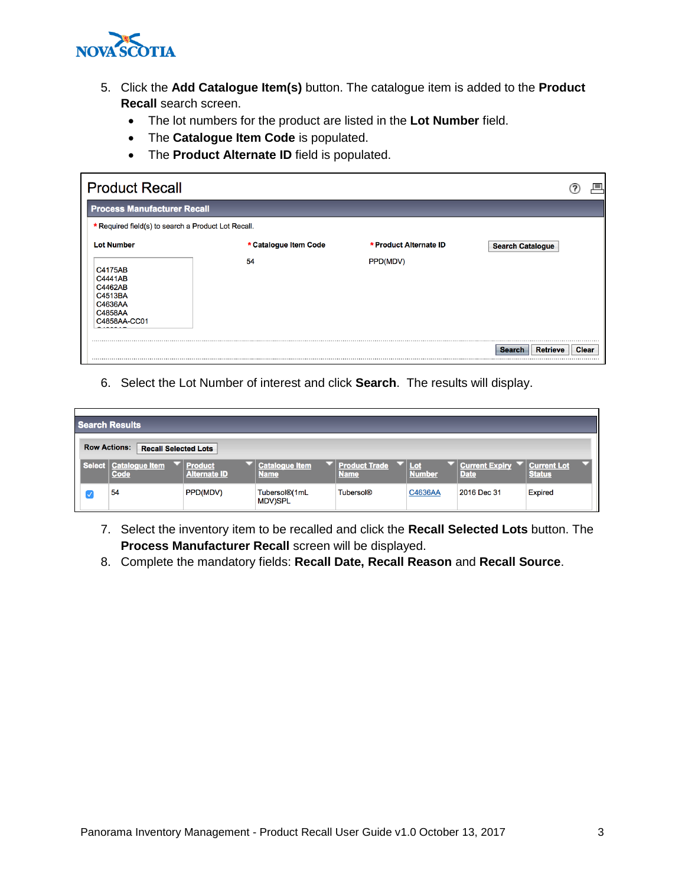

- 5. Click the **Add Catalogue Item(s)** button. The catalogue item is added to the **Product Recall** search screen.
	- The lot numbers for the product are listed in the **Lot Number** field.
	- The **Catalogue Item Code** is populated.
	- The **Product Alternate ID** field is populated.

| <b>Product Recall</b>                                                          |                       |                        |                                    |  |
|--------------------------------------------------------------------------------|-----------------------|------------------------|------------------------------------|--|
| <b>Process Manufacturer Recall</b>                                             |                       |                        |                                    |  |
| * Required field(s) to search a Product Lot Recall.                            |                       |                        |                                    |  |
| <b>Lot Number</b>                                                              | * Catalogue Item Code | * Product Alternate ID | <b>Search Catalogue</b>            |  |
| C4175AB<br>C4441AB<br>C4462AB<br>C4513BA<br>C4636AA<br>C4858AA<br>C4858AA-CC01 | 54                    | PPD(MDV)               |                                    |  |
|                                                                                |                       |                        | <b>Retrieve</b><br>Clear<br>Search |  |

6. Select the Lot Number of interest and click **Search**. The results will display.

|    | <b>Search Results</b>                              |                                       |                                              |                                     |               |                                      |                                     |  |
|----|----------------------------------------------------|---------------------------------------|----------------------------------------------|-------------------------------------|---------------|--------------------------------------|-------------------------------------|--|
|    | <b>Row Actions:</b><br><b>Recall Selected Lots</b> |                                       |                                              |                                     |               |                                      |                                     |  |
|    | Select   Catalogue Item<br>Code                    | <b>Product</b><br><b>Alternate ID</b> | <b>Catalogue Item</b><br><b>Name</b>         | <b>Product Trade</b><br><b>Name</b> | <b>Number</b> | <b>Current Expiry</b><br><b>Date</b> | <b>Current Lot</b><br><b>Status</b> |  |
| M) | 54                                                 | PPD(MDV)                              | Tubersol <sup>®</sup> (1mL<br><b>MDV)SPL</b> | <b>Tubersol®</b>                    | C4636AA       | 2016 Dec 31                          | <b>Expired</b>                      |  |

- 7. Select the inventory item to be recalled and click the **Recall Selected Lots** button. The **Process Manufacturer Recall** screen will be displayed.
- 8. Complete the mandatory fields: **Recall Date, Recall Reason** and **Recall Source**.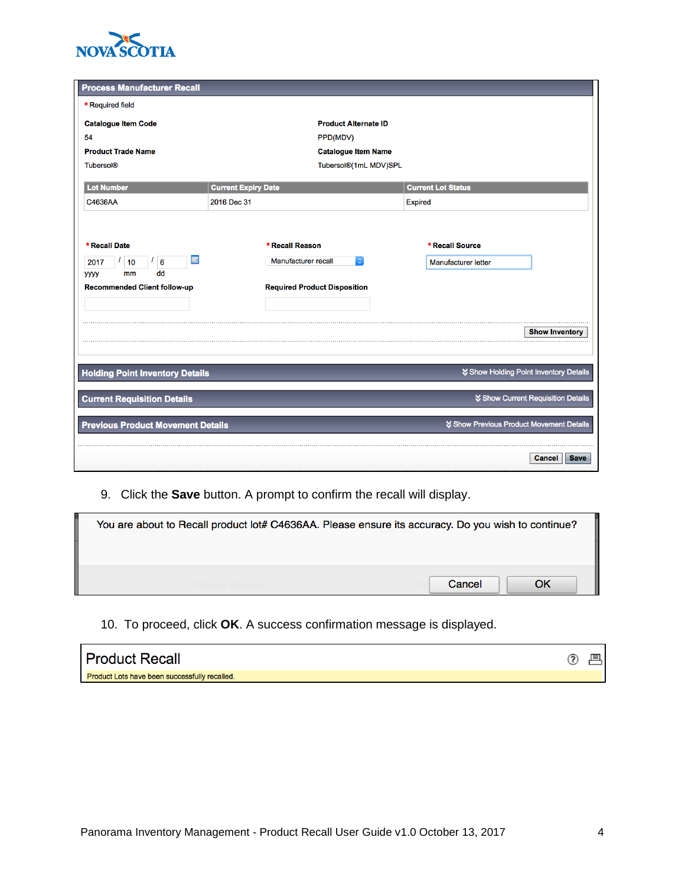

| <b>Process Manufacturer Recall</b>       |                                     |                                          |
|------------------------------------------|-------------------------------------|------------------------------------------|
| * Required field                         |                                     |                                          |
| <b>Catalogue Item Code</b>               | <b>Product Alternate ID</b>         |                                          |
| 54                                       | PPD(MDV)                            |                                          |
| <b>Product Trade Name</b>                | <b>Catalogue Item Name</b>          |                                          |
| <b>Tubersol®</b>                         | Tubersol®(1mL MDV)SPL               |                                          |
| <b>Lot Number</b>                        | <b>Current Expiry Date</b>          | <b>Current Lot Status</b>                |
| C4636AA                                  | 2016 Dec 31                         | <b>Expired</b>                           |
|                                          |                                     |                                          |
|                                          |                                     |                                          |
| * Recall Date                            | * Recall Reason                     | * Recall Source                          |
| 噩<br>$1\overline{6}$<br>10<br>2017       | Manufacturer recall<br>$\Diamond$   | Manufacturer letter                      |
| dd<br>mm<br><b>уууу</b>                  |                                     |                                          |
| <b>Recommended Client follow-up</b>      | <b>Required Product Disposition</b> |                                          |
|                                          |                                     |                                          |
|                                          |                                     | <b>Show Inventory</b>                    |
|                                          |                                     |                                          |
|                                          |                                     |                                          |
| <b>Holding Point Inventory Details</b>   |                                     | ↓ Show Holding Point Inventory Details   |
| <b>Current Requisition Details</b>       |                                     | Show Current Requisition Details         |
| <b>Previous Product Movement Details</b> |                                     | ↓ Show Previous Product Movement Details |
|                                          |                                     | <b>Save</b><br>Cancel                    |

9. Click the **Save** button. A prompt to confirm the recall will display.

| You are about to Recall product lot# C4636AA. Please ensure its accuracy. Do you wish to continue? |              |
|----------------------------------------------------------------------------------------------------|--------------|
|                                                                                                    | OK<br>Cancel |

10. To proceed, click **OK**. A success confirmation message is displayed.

| <b>Product Recall</b>                         |  |
|-----------------------------------------------|--|
| Product Lots have been successfully recalled. |  |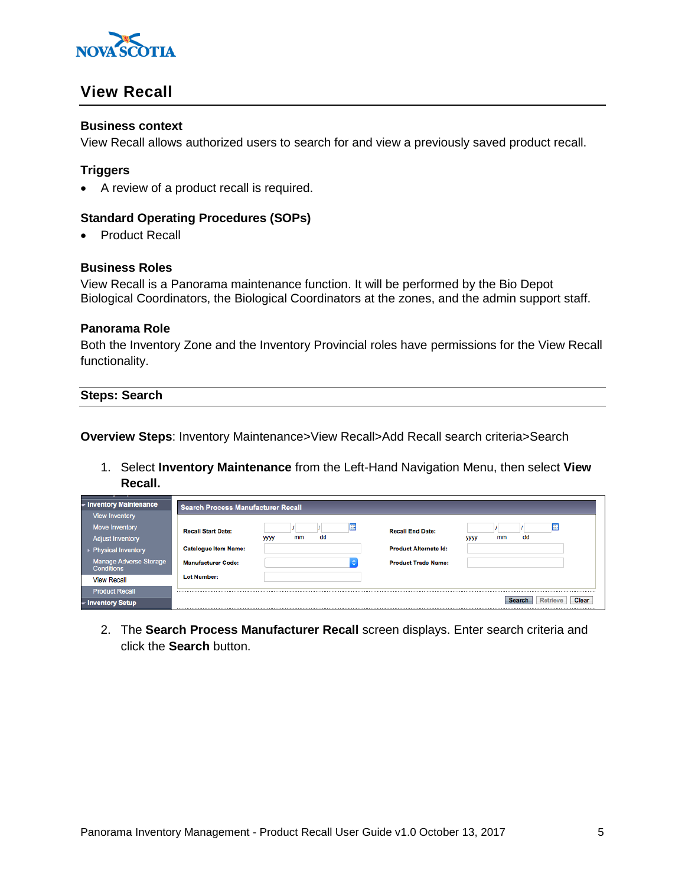

# <span id="page-4-0"></span>**View Recall**

## **Business context**

View Recall allows authorized users to search for and view a previously saved product recall.

# **Triggers**

A review of a product recall is required.

## **Standard Operating Procedures (SOPs)**

• Product Recall

## **Business Roles**

View Recall is a Panorama maintenance function. It will be performed by the Bio Depot Biological Coordinators, the Biological Coordinators at the zones, and the admin support staff.

#### **Panorama Role**

Both the Inventory Zone and the Inventory Provincial roles have permissions for the View Recall functionality.

<span id="page-4-1"></span>

| <b>Steps: Search</b> |  |
|----------------------|--|

**Overview Steps**: Inventory Maintenance>View Recall>Add Recall search criteria>Search

1. Select **Inventory Maintenance** from the Left-Hand Navigation Menu, then select **View Recall.** 

| <b>v</b> Inventory Maintenance              | <b>Search Process Manufacturer Recall</b> |                         |   |                              |                   |    |  |
|---------------------------------------------|-------------------------------------------|-------------------------|---|------------------------------|-------------------|----|--|
| <b>View Inventory</b>                       |                                           |                         |   |                              |                   |    |  |
| Move Inventory                              | <b>Recall Start Date:</b>                 |                         | E | <b>Recall End Date:</b>      |                   | 噩  |  |
| <b>Adjust Inventory</b>                     |                                           | dd<br>mm<br><b>yyyy</b> |   |                              | mm<br><b>yyyy</b> | dd |  |
| ▶ Physical Inventory                        | <b>Catalogue Item Name:</b>               |                         |   | <b>Product Alternate Id:</b> |                   |    |  |
| Manage Adverse Storage<br><b>Conditions</b> | <b>Manufacturer Code:</b>                 |                         |   | <b>Product Trade Name:</b>   |                   |    |  |
| <b>View Recall</b>                          | <b>Lot Number:</b>                        |                         |   |                              |                   |    |  |
| <b>Product Recall</b>                       |                                           |                         |   |                              |                   |    |  |
| Inventory Setup                             | Clear<br>Retrieve<br>Search               |                         |   |                              |                   |    |  |

2. The **Search Process Manufacturer Recall** screen displays. Enter search criteria and click the **Search** button.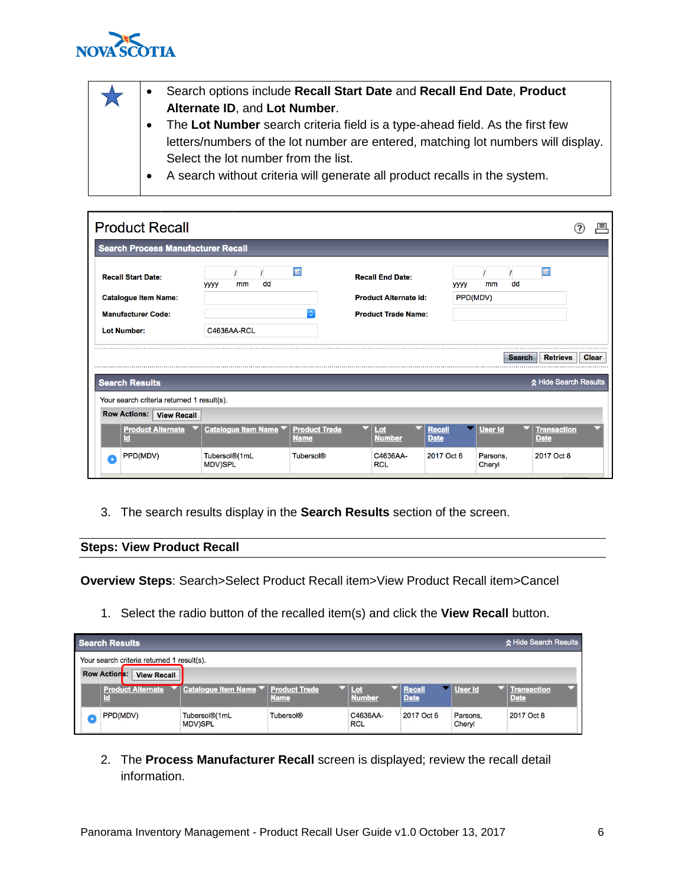

| $\bullet$ | Search options include Recall Start Date and Recall End Date, Product             |
|-----------|-----------------------------------------------------------------------------------|
|           | Alternate ID, and Lot Number.                                                     |
| $\bullet$ | The Lot Number search criteria field is a type-ahead field. As the first few      |
|           | letters/numbers of the lot number are entered, matching lot numbers will display. |
|           | Select the lot number from the list.                                              |
|           | A search without criteria will generate all product recalls in the system.        |

| <b>Product Recall</b>                      |                                 |                                     |                         |                                          |                              |                    |               |                                   |              |
|--------------------------------------------|---------------------------------|-------------------------------------|-------------------------|------------------------------------------|------------------------------|--------------------|---------------|-----------------------------------|--------------|
| <b>Search Process Manufacturer Recall</b>  |                                 |                                     |                         |                                          |                              |                    |               |                                   |              |
| <b>Recall Start Date:</b>                  | dd<br>mm<br><b>yyyy</b>         |                                     | <b>Recall End Date:</b> |                                          | <b>yyyy</b>                  | mm                 | dd            | 脚                                 |              |
| <b>Catalogue Item Name:</b>                |                                 |                                     |                         | <b>Product Alternate Id:</b><br>PPD(MDV) |                              |                    |               |                                   |              |
| <b>Manufacturer Code:</b>                  |                                 |                                     |                         | <b>Product Trade Name:</b>               |                              |                    |               |                                   |              |
| <b>Lot Number:</b>                         | C4636AA-RCL                     |                                     |                         |                                          |                              |                    |               |                                   |              |
|                                            |                                 |                                     |                         |                                          |                              |                    | <b>Search</b> | <b>Retrieve</b>                   | <b>Clear</b> |
| <b>Search Results</b>                      |                                 |                                     |                         |                                          |                              |                    |               | Hide Search Results               |              |
| Your search criteria returned 1 result(s). |                                 |                                     |                         |                                          |                              |                    |               |                                   |              |
| <b>Row Actions:</b><br><b>View Recall</b>  |                                 |                                     |                         |                                          |                              |                    |               |                                   |              |
| <b>Product Alternate</b><br>ld             | <b>Catalogue Item Name</b>      | <b>Product Trade</b><br><b>Name</b> | Lot<br><b>Number</b>    |                                          | <b>Recall</b><br><b>Date</b> | <b>User Id</b>     |               | <b>Transaction</b><br><b>Date</b> |              |
| PPD(MDV)<br>O                              | Tubersol®(1mL<br><b>MDV)SPL</b> | <b>Tubersol®</b>                    | C4636AA-<br><b>RCL</b>  |                                          | 2017 Oct 6                   | Parsons,<br>Cheryl |               | 2017 Oct 8                        |              |

3. The search results display in the **Search Results** section of the screen.

<span id="page-5-0"></span>**Steps: View Product Recall**

**Overview Steps**: Search>Select Product Recall item>View Product Recall item>Cancel

1. Select the radio button of the recalled item(s) and click the **View Recall** button.

| <b>Search Results</b><br>A Hide Search Results |                                            |                                                         |                  |                        |                              |                    |                                   |  |  |  |  |
|------------------------------------------------|--------------------------------------------|---------------------------------------------------------|------------------|------------------------|------------------------------|--------------------|-----------------------------------|--|--|--|--|
|                                                | Your search criteria returned 1 result(s). |                                                         |                  |                        |                              |                    |                                   |  |  |  |  |
|                                                | <b>Row Actions:</b><br><b>View Recall</b>  |                                                         |                  |                        |                              |                    |                                   |  |  |  |  |
|                                                |                                            | Product Alternate ▼ Catalogue Item Name ▼ Product Trade | <b>Name</b>      | <b>Number</b>          | <b>Recall</b><br><b>Date</b> | User Id            | <b>Transaction</b><br><b>Date</b> |  |  |  |  |
|                                                | PPD(MDV)                                   | Tubersol®(1mL<br><b>MDV)SPL</b>                         | <b>Tubersol®</b> | C4636AA-<br><b>RCL</b> | 2017 Oct 6                   | Parsons,<br>Cheryl | 2017 Oct 8                        |  |  |  |  |

2. The **Process Manufacturer Recall** screen is displayed; review the recall detail information.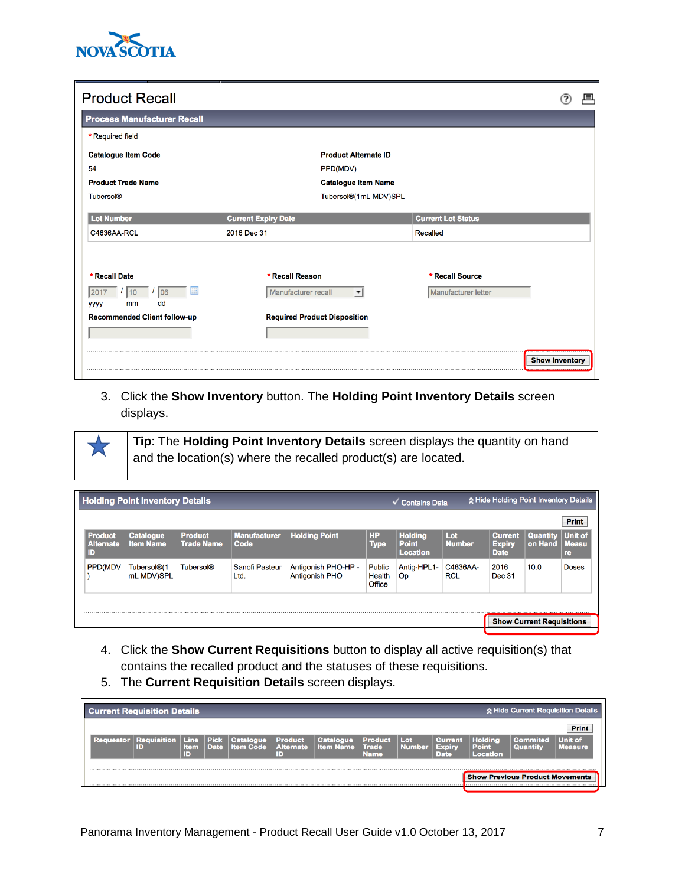

饮

| <b>Product Recall</b>                          |                                                                    | 目                                      |
|------------------------------------------------|--------------------------------------------------------------------|----------------------------------------|
| <b>Process Manufacturer Recall</b>             |                                                                    |                                        |
| * Required field                               |                                                                    |                                        |
| <b>Catalogue Item Code</b>                     | <b>Product Alternate ID</b>                                        |                                        |
| 54                                             | PPD(MDV)                                                           |                                        |
| <b>Product Trade Name</b>                      | <b>Catalogue Item Name</b>                                         |                                        |
| <b>Tubersol®</b>                               | Tubersol®(1mL MDV)SPL                                              |                                        |
|                                                |                                                                    |                                        |
| <b>Lot Number</b>                              | <b>Current Expiry Date</b>                                         | <b>Current Lot Status</b>              |
| C4636AA-RCL                                    | 2016 Dec 31                                                        | Recalled                               |
| * Recall Date<br>06<br>dd<br><b>yyyy</b><br>mm | * Recall Reason<br>Manufacturer recall<br>$\overline{\phantom{a}}$ | * Recall Source<br>Manufacturer letter |
| <b>Recommended Client follow-up</b>            | <b>Required Product Disposition</b>                                |                                        |
|                                                |                                                                    |                                        |
|                                                |                                                                    |                                        |
|                                                |                                                                    | <b>Show Inventory</b>                  |

3. Click the **Show Inventory** button. The **Holding Point Inventory Details** screen displays.

**Tip**: The **Holding Point Inventory Details** screen displays the quantity on hand and the location(s) where the recalled product(s) are located.

| A Hide Holding Point Inventory Details<br><b>Holding Point Inventory Details</b><br>$\checkmark$ Contains Data |                                        |                                     |                             |                                              |                            |                                                   |                        |                                                |                                  |                                             |  |
|----------------------------------------------------------------------------------------------------------------|----------------------------------------|-------------------------------------|-----------------------------|----------------------------------------------|----------------------------|---------------------------------------------------|------------------------|------------------------------------------------|----------------------------------|---------------------------------------------|--|
|                                                                                                                |                                        |                                     |                             |                                              |                            |                                                   |                        |                                                |                                  | <b>Print</b>                                |  |
| <b>Product</b><br><b>Alternate</b><br><b>ID</b>                                                                | <b>Catalogue</b><br><b>Item Name</b>   | <b>Product</b><br><b>Trade Name</b> | <b>Manufacturer</b><br>Code | <b>Holding Point</b>                         | HP<br><b>Type</b>          | <b>Holding</b><br><b>Point</b><br><b>Location</b> | Lot<br><b>Number</b>   | <b>Current</b><br><b>Expiry</b><br><b>Date</b> | <b>Quantity</b><br>on Hand       | <b>Unit of</b><br><b>Measu</b><br><b>re</b> |  |
| <b>PPD(MDV</b>                                                                                                 | Tubersol <sup>®</sup> (1<br>mL MDV)SPL | <b>Tubersol®</b>                    | Sanofi Pasteur<br>Ltd.      | Antigonish PHO-HP -<br><b>Antigonish PHO</b> | Public<br>Health<br>Office | Antig-HPL1-<br><b>Op</b>                          | C4636AA-<br><b>RCL</b> | 2016<br>Dec 31                                 | 10.0                             | <b>Doses</b>                                |  |
|                                                                                                                |                                        |                                     |                             |                                              |                            |                                                   |                        |                                                |                                  |                                             |  |
|                                                                                                                |                                        |                                     |                             |                                              |                            |                                                   |                        |                                                | <b>Show Current Requisitions</b> |                                             |  |

- 4. Click the **Show Current Requisitions** button to display all active requisition(s) that contains the recalled product and the statuses of these requisitions.
- 5. The **Current Requisition Details** screen displays.

| A Hide Current Requisition Details<br><b>Current Requisition Details</b> |                                |                                  |                            |                                      |                                         |                                      |                                        |                          |                                                |                                                   |                             |                                  |
|--------------------------------------------------------------------------|--------------------------------|----------------------------------|----------------------------|--------------------------------------|-----------------------------------------|--------------------------------------|----------------------------------------|--------------------------|------------------------------------------------|---------------------------------------------------|-----------------------------|----------------------------------|
|                                                                          |                                |                                  |                            |                                      |                                         |                                      |                                        |                          |                                                |                                                   |                             | Print                            |
|                                                                          | <b>Requestor   Requisition</b> | <b>Line</b><br><b>Item</b><br>חו | <b>Pick</b><br><b>Date</b> | <b>Catalogue</b><br><b>Item Code</b> | <b>Product</b><br><b>Alternate</b><br>ъ | <b>Catalogue</b><br><b>Item Name</b> | <b>Product</b><br><b>Trade</b><br>Name | $ $ Lot<br><b>Number</b> | <b>Current</b><br><b>Expiry</b><br><b>Date</b> | <b>Holding</b><br><b>Point</b><br><b>Location</b> | <b>Commited</b><br>Quantity | <b>Unit of</b><br><b>Measure</b> |
|                                                                          |                                |                                  |                            |                                      |                                         |                                      |                                        |                          |                                                |                                                   |                             |                                  |
|                                                                          |                                |                                  |                            |                                      |                                         |                                      |                                        |                          | <b>Show Previous Product Movements</b>         |                                                   |                             |                                  |